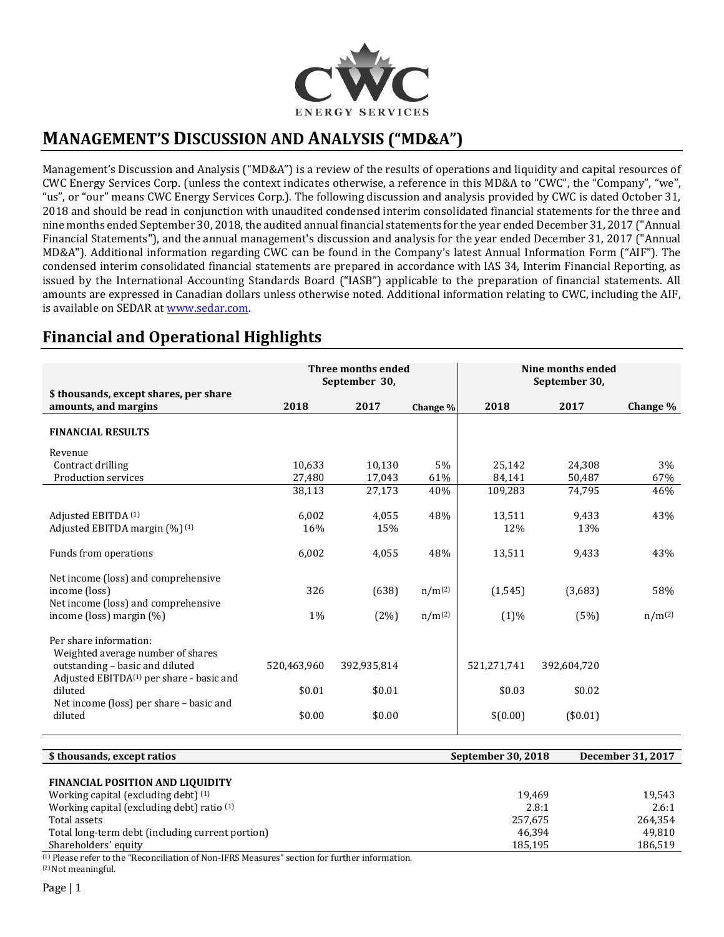

# **MANAGEMENT'S DISCUSSION AND ANALYSIS ("MD&A")**

Management's Discussion and Analysis ("MD&A") is a review of the results of operations and liquidity and capital resources of CWC Energy Services Corp. (unless the context indicates otherwise, a reference in this MD&A to "CWC", the "Company", "we", "us", or "our" means CWC Energy Services Corp.). The following discussion and analysis provided by CWC is dated October 31, 2018 and should be read in conjunction with unaudited condensed interim consolidated financial statements for the three and nine months ended September 30, 2018, the audited annual financial statements for the year ended December 31, 2017 ("Annual Financial Statements"), and the annual management's discussion and analysis for the year ended December 31, 2017 ("Annual MD&A"). Additional information regarding CWC can be found in the Company's latest Annual Information Form ("AIF"). The condensed interim consolidated financial statements are prepared in accordance with IAS 34, Interim Financial Reporting, as issued by the International Accounting Standards Board ("IASB") applicable to the preparation of financial statements. All amounts are expressed in Canadian dollars unless otherwise noted. Additional information relating to CWC, including the AIF, is available on SEDAR a[t www.sedar.com.](http://www.sedar.com/)

## **Financial and Operational Highlights**

|                                                                                                                              |             | <b>Three months ended</b><br>September 30, |             |             | Nine months ended<br>September 30, |             |
|------------------------------------------------------------------------------------------------------------------------------|-------------|--------------------------------------------|-------------|-------------|------------------------------------|-------------|
| \$ thousands, except shares, per share<br>amounts, and margins                                                               | 2018        | 2017                                       | Change %    | 2018        | 2017                               | Change %    |
| <b>FINANCIAL RESULTS</b>                                                                                                     |             |                                            |             |             |                                    |             |
| Revenue                                                                                                                      |             |                                            |             |             |                                    |             |
| Contract drilling                                                                                                            | 10,633      | 10,130                                     | 5%          | 25,142      | 24,308                             | 3%          |
| Production services                                                                                                          | 27,480      | 17,043                                     | 61%         | 84,141      | 50,487                             | 67%         |
|                                                                                                                              | 38,113      | 27,173                                     | 40%         | 109,283     | 74,795                             | 46%         |
| Adjusted EBITDA (1)                                                                                                          | 6,002       | 4,055                                      | 48%         | 13,511      | 9,433                              | 43%         |
| Adjusted EBITDA margin $(\frac{9}{0})^{(1)}$                                                                                 | 16%         | 15%                                        |             | 12%         | 13%                                |             |
| Funds from operations                                                                                                        | 6,002       | 4,055                                      | 48%         | 13,511      | 9,433                              | 43%         |
| Net income (loss) and comprehensive                                                                                          |             |                                            |             |             |                                    |             |
| income (loss)                                                                                                                | 326         | (638)                                      | $n/m^{(2)}$ | (1,545)     | (3,683)                            | 58%         |
| Net income (loss) and comprehensive<br>income (loss) margin (%)                                                              | 1%          | (2%)                                       | $n/m^{(2)}$ | $(1)\%$     | (5%)                               | $n/m^{(2)}$ |
| Per share information:                                                                                                       |             |                                            |             |             |                                    |             |
| Weighted average number of shares<br>outstanding - basic and diluted<br>Adjusted EBITDA <sup>(1)</sup> per share - basic and | 520,463,960 | 392,935,814                                |             | 521,271,741 | 392,604,720                        |             |
| diluted                                                                                                                      | \$0.01      | \$0.01                                     |             | \$0.03      | \$0.02                             |             |
| Net income (loss) per share – basic and<br>diluted                                                                           | \$0.00      | \$0.00                                     |             | \$(0.00)    | (\$0.01)                           |             |

| \$ thousands, except ratios                           | September 30, 2018 | December 31, 2017 |
|-------------------------------------------------------|--------------------|-------------------|
|                                                       |                    |                   |
| <b>FINANCIAL POSITION AND LIQUIDITY</b>               |                    |                   |
| Working capital (excluding debt) (1)                  | 19.469             | 19,543            |
| Working capital (excluding debt) ratio <sup>(1)</sup> | 2.8:1              | 2.6:1             |
| Total assets                                          | 257.675            | 264.354           |
| Total long-term debt (including current portion)      | 46.394             | 49.810            |
| Shareholders' equity                                  | 185,195            | 186,519           |

(1) Please refer to the "Reconciliation of Non-IFRS Measures" section for further information. (2) Not meaningful.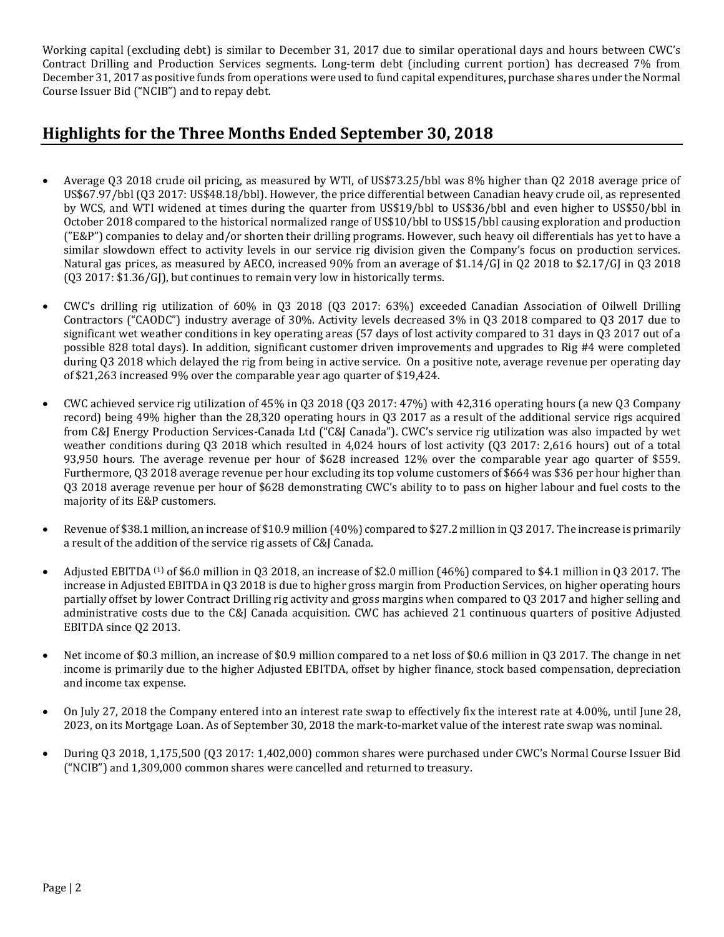Working capital (excluding debt) is similar to December 31, 2017 due to similar operational days and hours between CWC's Contract Drilling and Production Services segments. Long-term debt (including current portion) has decreased 7% from December 31, 2017 as positive funds from operations were used to fund capital expenditures, purchase shares under the Normal Course Issuer Bid ("NCIB") and to repay debt.

## **Highlights for the Three Months Ended September 30, 2018**

- Average Q3 2018 crude oil pricing, as measured by WTI, of US\$73.25/bbl was 8% higher than Q2 2018 average price of US\$67.97/bbl (Q3 2017: US\$48.18/bbl). However, the price differential between Canadian heavy crude oil, as represented by WCS, and WTI widened at times during the quarter from US\$19/bbl to US\$36/bbl and even higher to US\$50/bbl in October 2018 compared to the historical normalized range of US\$10/bbl to US\$15/bbl causing exploration and production ("E&P") companies to delay and/or shorten their drilling programs. However, such heavy oil differentials has yet to have a similar slowdown effect to activity levels in our service rig division given the Company's focus on production services. Natural gas prices, as measured by AECO, increased 90% from an average of \$1.14/GJ in Q2 2018 to \$2.17/GJ in Q3 2018 (Q3 2017: \$1.36/GJ), but continues to remain very low in historically terms.
- CWC's drilling rig utilization of 60% in Q3 2018 (Q3 2017: 63%) exceeded Canadian Association of Oilwell Drilling Contractors ("CAODC") industry average of 30%. Activity levels decreased 3% in Q3 2018 compared to Q3 2017 due to significant wet weather conditions in key operating areas (57 days of lost activity compared to 31 days in Q3 2017 out of a possible 828 total days). In addition, significant customer driven improvements and upgrades to Rig #4 were completed during Q3 2018 which delayed the rig from being in active service. On a positive note, average revenue per operating day of \$21,263 increased 9% over the comparable year ago quarter of \$19,424.
- CWC achieved service rig utilization of 45% in Q3 2018 (Q3 2017: 47%) with 42,316 operating hours (a new Q3 Company record) being 49% higher than the 28,320 operating hours in Q3 2017 as a result of the additional service rigs acquired from C&J Energy Production Services-Canada Ltd ("C&J Canada"). CWC's service rig utilization was also impacted by wet weather conditions during Q3 2018 which resulted in 4,024 hours of lost activity (Q3 2017: 2,616 hours) out of a total 93,950 hours. The average revenue per hour of \$628 increased 12% over the comparable year ago quarter of \$559. Furthermore, Q3 2018 average revenue per hour excluding its top volume customers of \$664 was \$36 per hour higher than Q3 2018 average revenue per hour of \$628 demonstrating CWC's ability to to pass on higher labour and fuel costs to the majority of its E&P customers.
- Revenue of \$38.1 million, an increase of \$10.9 million (40%) compared to \$27.2 million in Q3 2017. The increase is primarily a result of the addition of the service rig assets of C&J Canada.
- Adjusted EBITDA <sup>(1)</sup> of \$6.0 million in 03 2018, an increase of \$2.0 million (46%) compared to \$4.1 million in 03 2017. The increase in Adjusted EBITDA in Q3 2018 is due to higher gross margin from Production Services, on higher operating hours partially offset by lower Contract Drilling rig activity and gross margins when compared to Q3 2017 and higher selling and administrative costs due to the C&J Canada acquisition. CWC has achieved 21 continuous quarters of positive Adjusted EBITDA since Q2 2013.
- Net income of \$0.3 million, an increase of \$0.9 million compared to a net loss of \$0.6 million in Q3 2017. The change in net income is primarily due to the higher Adjusted EBITDA, offset by higher finance, stock based compensation, depreciation and income tax expense.
- On July 27, 2018 the Company entered into an interest rate swap to effectively fix the interest rate at 4.00%, until June 28, 2023, on its Mortgage Loan. As of September 30, 2018 the mark-to-market value of the interest rate swap was nominal.
- During Q3 2018, 1,175,500 (Q3 2017: 1,402,000) common shares were purchased under CWC's Normal Course Issuer Bid ("NCIB") and 1,309,000 common shares were cancelled and returned to treasury.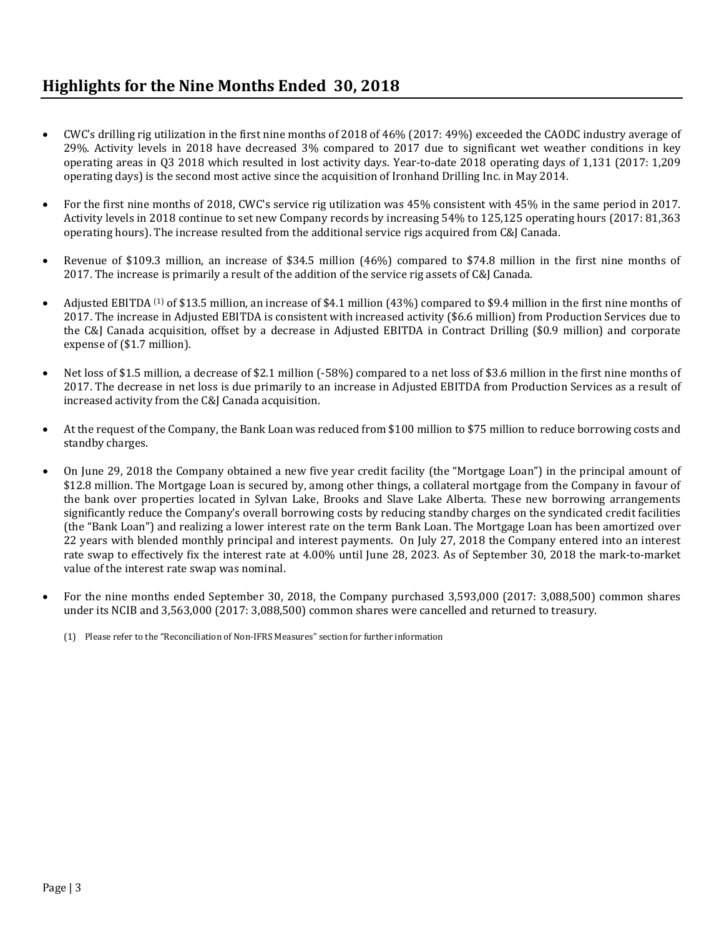# **Highlights for the Nine Months Ended 30, 2018**

- CWC's drilling rig utilization in the first nine months of 2018 of 46% (2017: 49%) exceeded the CAODC industry average of 29%. Activity levels in 2018 have decreased 3% compared to 2017 due to significant wet weather conditions in key operating areas in Q3 2018 which resulted in lost activity days. Year-to-date 2018 operating days of 1,131 (2017: 1,209 operating days) is the second most active since the acquisition of Ironhand Drilling Inc. in May 2014.
- For the first nine months of 2018, CWC's service rig utilization was 45% consistent with 45% in the same period in 2017. Activity levels in 2018 continue to set new Company records by increasing 54% to 125,125 operating hours (2017: 81,363 operating hours). The increase resulted from the additional service rigs acquired from C&J Canada.
- Revenue of \$109.3 million, an increase of \$34.5 million (46%) compared to \$74.8 million in the first nine months of 2017. The increase is primarily a result of the addition of the service rig assets of C&J Canada.
- Adjusted EBITDA <sup>(1)</sup> of \$13.5 million, an increase of \$4.1 million (43%) compared to \$9.4 million in the first nine months of 2017. The increase in Adjusted EBITDA is consistent with increased activity (\$6.6 million) from Production Services due to the C&J Canada acquisition, offset by a decrease in Adjusted EBITDA in Contract Drilling (\$0.9 million) and corporate expense of (\$1.7 million).
- Net loss of \$1.5 million, a decrease of \$2.1 million (-58%) compared to a net loss of \$3.6 million in the first nine months of 2017. The decrease in net loss is due primarily to an increase in Adjusted EBITDA from Production Services as a result of increased activity from the C&J Canada acquisition.
- At the request of the Company, the Bank Loan was reduced from \$100 million to \$75 million to reduce borrowing costs and standby charges.
- On June 29, 2018 the Company obtained a new five year credit facility (the "Mortgage Loan") in the principal amount of \$12.8 million. The Mortgage Loan is secured by, among other things, a collateral mortgage from the Company in favour of the bank over properties located in Sylvan Lake, Brooks and Slave Lake Alberta. These new borrowing arrangements significantly reduce the Company's overall borrowing costs by reducing standby charges on the syndicated credit facilities (the "Bank Loan") and realizing a lower interest rate on the term Bank Loan. The Mortgage Loan has been amortized over 22 years with blended monthly principal and interest payments. On July 27, 2018 the Company entered into an interest rate swap to effectively fix the interest rate at 4.00% until June 28, 2023. As of September 30, 2018 the mark-to-market value of the interest rate swap was nominal.
- For the nine months ended September 30, 2018, the Company purchased 3,593,000 (2017: 3,088,500) common shares under its NCIB and 3,563,000 (2017: 3,088,500) common shares were cancelled and returned to treasury.
	- (1) Please refer to the "Reconciliation of Non-IFRS Measures" section for further information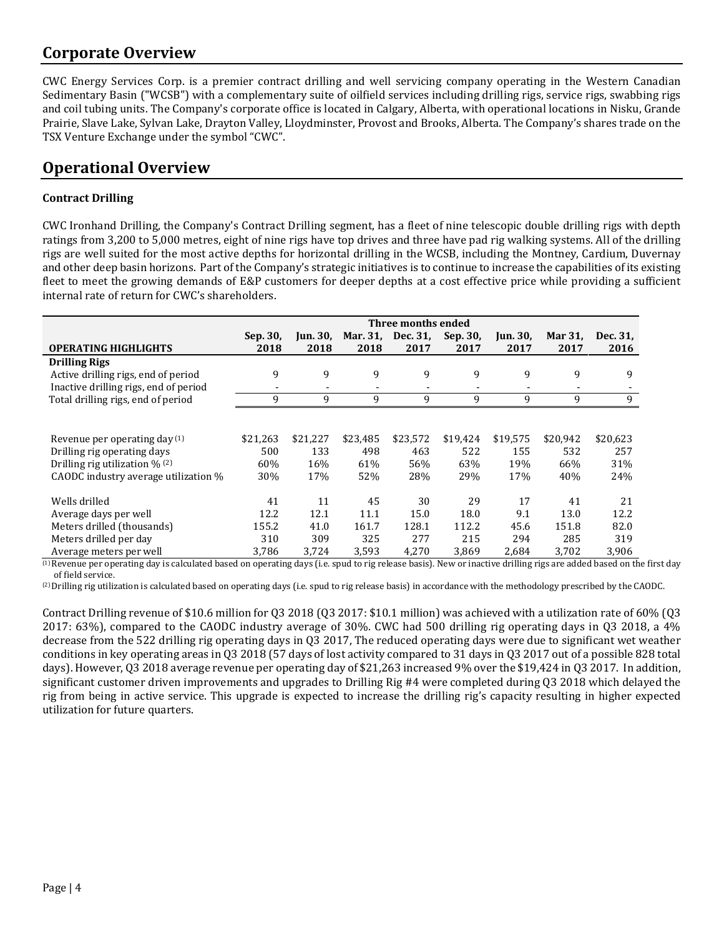## **Corporate Overview**

CWC Energy Services Corp. is a premier contract drilling and well servicing company operating in the Western Canadian Sedimentary Basin ("WCSB") with a complementary suite of oilfield services including drilling rigs, service rigs, swabbing rigs and coil tubing units. The Company's corporate office is located in Calgary, Alberta, with operational locations in Nisku, Grande Prairie, Slave Lake, Sylvan Lake, Drayton Valley, Lloydminster, Provost and Brooks, Alberta. The Company's shares trade on the TSX Venture Exchange under the symbol "CWC".

# **Operational Overview**

### **Contract Drilling**

CWC Ironhand Drilling, the Company's Contract Drilling segment, has a fleet of nine telescopic double drilling rigs with depth ratings from 3,200 to 5,000 metres, eight of nine rigs have top drives and three have pad rig walking systems. All of the drilling rigs are well suited for the most active depths for horizontal drilling in the WCSB, including the Montney, Cardium, Duvernay and other deep basin horizons. Part of the Company's strategic initiatives is to continue to increase the capabilities of its existing fleet to meet the growing demands of E&P customers for deeper depths at a cost effective price while providing a sufficient internal rate of return for CWC's shareholders.

|                                       |          |                 |          | Three months ended |          |          |          |          |
|---------------------------------------|----------|-----------------|----------|--------------------|----------|----------|----------|----------|
|                                       | Sep. 30, | <b>Jun. 30,</b> |          | Mar. 31, Dec. 31,  | Sep. 30, | Jun. 30, | Mar 31,  | Dec. 31, |
| <b>OPERATING HIGHLIGHTS</b>           | 2018     | 2018            | 2018     | 2017               | 2017     | 2017     | 2017     | 2016     |
| <b>Drilling Rigs</b>                  |          |                 |          |                    |          |          |          |          |
| Active drilling rigs, end of period   | 9        | 9               | 9        | 9                  | 9        | 9        | 9        | 9        |
| Inactive drilling rigs, end of period |          |                 |          |                    |          |          |          |          |
| Total drilling rigs, end of period    | 9        | 9               | 9        | 9                  | 9        | 9        | 9        | 9        |
|                                       |          |                 |          |                    |          |          |          |          |
| Revenue per operating day (1)         | \$21,263 | \$21,227        | \$23,485 | \$23,572           | \$19,424 | \$19,575 | \$20,942 | \$20,623 |
| Drilling rig operating days           | 500      | 133             | 498      | 463                | 522      | 155      | 532      | 257      |
| Drilling rig utilization $\%$ (2)     | 60%      | 16%             | 61%      | 56%                | 63%      | 19%      | 66%      | 31%      |
| CAODC industry average utilization %  | 30%      | 17%             | 52%      | 28%                | 29%      | 17%      | 40%      | 24%      |
| Wells drilled                         | 41       | 11              | 45       | 30                 | 29       | 17       | 41       | 21       |
| Average days per well                 | 12.2     | 12.1            | 11.1     | 15.0               | 18.0     | 9.1      | 13.0     | 12.2     |
| Meters drilled (thousands)            | 155.2    | 41.0            | 161.7    | 128.1              | 112.2    | 45.6     | 151.8    | 82.0     |
| Meters drilled per day                | 310      | 309             | 325      | 277                | 215      | 294      | 285      | 319      |
| Average meters per well               | 3,786    | 3,724           | 3,593    | 4,270              | 3,869    | 2.684    | 3,702    | 3,906    |

<sup>(1)</sup> Revenue per operating day is calculated based on operating days (i.e. spud to rig release basis). New or inactive drilling rigs are added based on the first day of field service.

(2)Drilling rig utilization is calculated based on operating days (i.e. spud to rig release basis) in accordance with the methodology prescribed by the CAODC.

Contract Drilling revenue of \$10.6 million for Q3 2018 (Q3 2017: \$10.1 million) was achieved with a utilization rate of 60% (Q3 2017: 63%), compared to the CAODC industry average of 30%. CWC had 500 drilling rig operating days in Q3 2018, a 4% decrease from the 522 drilling rig operating days in Q3 2017, The reduced operating days were due to significant wet weather conditions in key operating areas in Q3 2018 (57 days of lost activity compared to 31 days in Q3 2017 out of a possible 828 total days). However, Q3 2018 average revenue per operating day of \$21,263 increased 9% over the \$19,424 in Q3 2017. In addition, significant customer driven improvements and upgrades to Drilling Rig #4 were completed during Q3 2018 which delayed the rig from being in active service. This upgrade is expected to increase the drilling rig's capacity resulting in higher expected utilization for future quarters.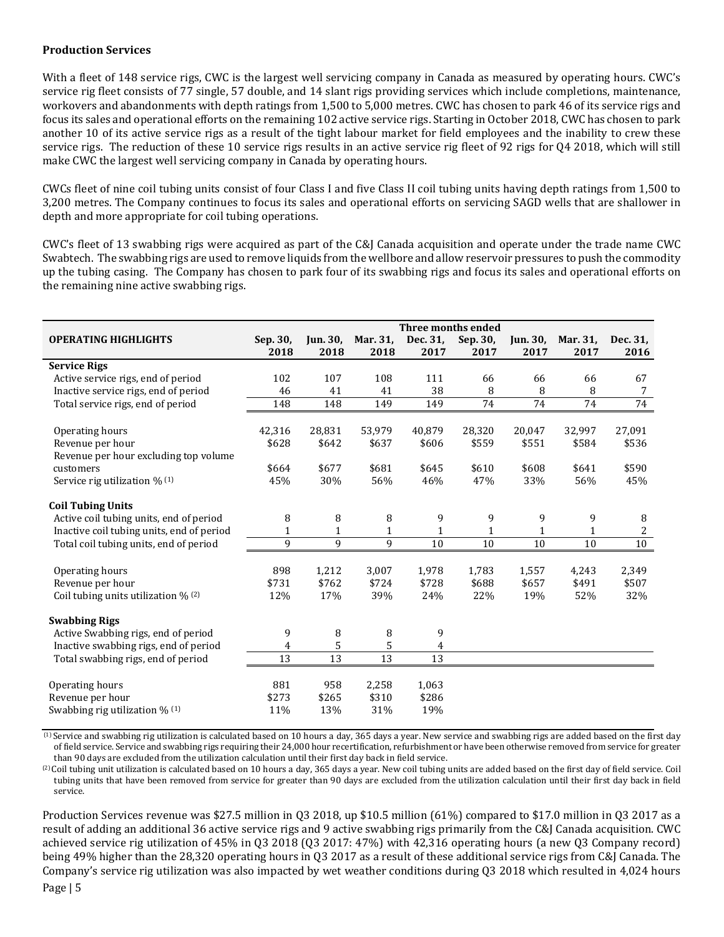#### **Production Services**

With a fleet of 148 service rigs, CWC is the largest well servicing company in Canada as measured by operating hours. CWC's service rig fleet consists of 77 single, 57 double, and 14 slant rigs providing services which include completions, maintenance, workovers and abandonments with depth ratings from 1,500 to 5,000 metres. CWC has chosen to park 46 of its service rigs and focus its sales and operational efforts on the remaining 102 active service rigs. Starting in October 2018, CWC has chosen to park another 10 of its active service rigs as a result of the tight labour market for field employees and the inability to crew these service rigs. The reduction of these 10 service rigs results in an active service rig fleet of 92 rigs for Q4 2018, which will still make CWC the largest well servicing company in Canada by operating hours.

CWCs fleet of nine coil tubing units consist of four Class I and five Class II coil tubing units having depth ratings from 1,500 to 3,200 metres. The Company continues to focus its sales and operational efforts on servicing SAGD wells that are shallower in depth and more appropriate for coil tubing operations.

CWC's fleet of 13 swabbing rigs were acquired as part of the C&J Canada acquisition and operate under the trade name CWC Swabtech. The swabbing rigs are used to remove liquids from the wellbore and allow reservoir pressures to push the commodity up the tubing casing. The Company has chosen to park four of its swabbing rigs and focus its sales and operational efforts on the remaining nine active swabbing rigs.

|                                           |              |                 |              | Three months ended |              |              |              |          |
|-------------------------------------------|--------------|-----------------|--------------|--------------------|--------------|--------------|--------------|----------|
| <b>OPERATING HIGHLIGHTS</b>               | Sep. 30,     | <b>Jun. 30,</b> | Mar. 31,     | Dec. 31,           | Sep. 30.     | Jun. 30,     | Mar. 31,     | Dec. 31, |
|                                           | 2018         | 2018            | 2018         | 2017               | 2017         | 2017         | 2017         | 2016     |
| <b>Service Rigs</b>                       |              |                 |              |                    |              |              |              |          |
| Active service rigs, end of period        | 102          | 107             | 108          | 111                | 66           | 66           | 66           | 67       |
| Inactive service rigs, end of period      | 46           | 41              | 41           | 38                 | 8            | 8            | 8            | 7        |
| Total service rigs, end of period         | 148          | 148             | 149          | 149                | 74           | 74           | 74           | 74       |
| Operating hours                           | 42,316       | 28,831          | 53,979       | 40,879             | 28,320       | 20,047       | 32,997       | 27,091   |
| Revenue per hour                          | \$628        | \$642           | \$637        | \$606              | \$559        | \$551        | \$584        | \$536    |
| Revenue per hour excluding top volume     |              |                 |              |                    |              |              |              |          |
| customers                                 | \$664        | \$677           | \$681        | \$645              | \$610        | \$608        | \$641        | \$590    |
| Service rig utilization % (1)             | 45%          | 30%             | 56%          | 46%                | 47%          | 33%          | 56%          | 45%      |
| <b>Coil Tubing Units</b>                  |              |                 |              |                    |              |              |              |          |
| Active coil tubing units, end of period   | 8            | 8               | 8            | 9                  | 9            | 9            | 9            | 8        |
| Inactive coil tubing units, end of period | $\mathbf{1}$ | $\mathbf{1}$    | $\mathbf{1}$ | $\mathbf{1}$       | $\mathbf{1}$ | $\mathbf{1}$ | $\mathbf{1}$ | 2        |
| Total coil tubing units, end of period    | 9            | 9               | 9            | 10                 | 10           | 10           | 10           | $10\,$   |
| Operating hours                           | 898          | 1,212           | 3,007        | 1,978              | 1,783        | 1,557        | 4,243        | 2,349    |
| Revenue per hour                          | \$731        | \$762           | \$724        | \$728              | \$688        | \$657        | \$491        | \$507    |
| Coil tubing units utilization $\%$ (2)    | 12%          | 17%             | 39%          | 24%                | 22%          | 19%          | 52%          | 32%      |
| <b>Swabbing Rigs</b>                      |              |                 |              |                    |              |              |              |          |
| Active Swabbing rigs, end of period       | 9            | 8               | 8            | 9                  |              |              |              |          |
| Inactive swabbing rigs, end of period     | 4            | 5               | 5            | 4                  |              |              |              |          |
| Total swabbing rigs, end of period        | 13           | 13              | 13           | 13                 |              |              |              |          |
|                                           |              |                 |              |                    |              |              |              |          |
| Operating hours                           | 881          | 958             | 2,258        | 1,063              |              |              |              |          |
| Revenue per hour                          | \$273        | \$265           | \$310        | \$286              |              |              |              |          |
| Swabbing rig utilization % (1)            | 11%          | 13%             | 31%          | 19%                |              |              |              |          |

 $^{(1)}$  Service and swabbing rig utilization is calculated based on 10 hours a day, 365 days a year. New service and swabbing rigs are added based on the first day of field service. Service and swabbing rigs requiring their 24,000 hour recertification, refurbishment or have been otherwise removed from service for greater than 90 days are excluded from the utilization calculation until their first day back in field service.

 $^{(2)}$  Coil tubing unit utilization is calculated based on 10 hours a day, 365 days a year. New coil tubing units are added based on the first day of field service. Coil tubing units that have been removed from service for greater than 90 days are excluded from the utilization calculation until their first day back in field service.

Production Services revenue was \$27.5 million in Q3 2018, up \$10.5 million (61%) compared to \$17.0 million in Q3 2017 as a result of adding an additional 36 active service rigs and 9 active swabbing rigs primarily from the C&J Canada acquisition. CWC achieved service rig utilization of 45% in Q3 2018 (Q3 2017: 47%) with 42,316 operating hours (a new Q3 Company record) being 49% higher than the 28,320 operating hours in Q3 2017 as a result of these additional service rigs from C&J Canada. The Company's service rig utilization was also impacted by wet weather conditions during Q3 2018 which resulted in 4,024 hours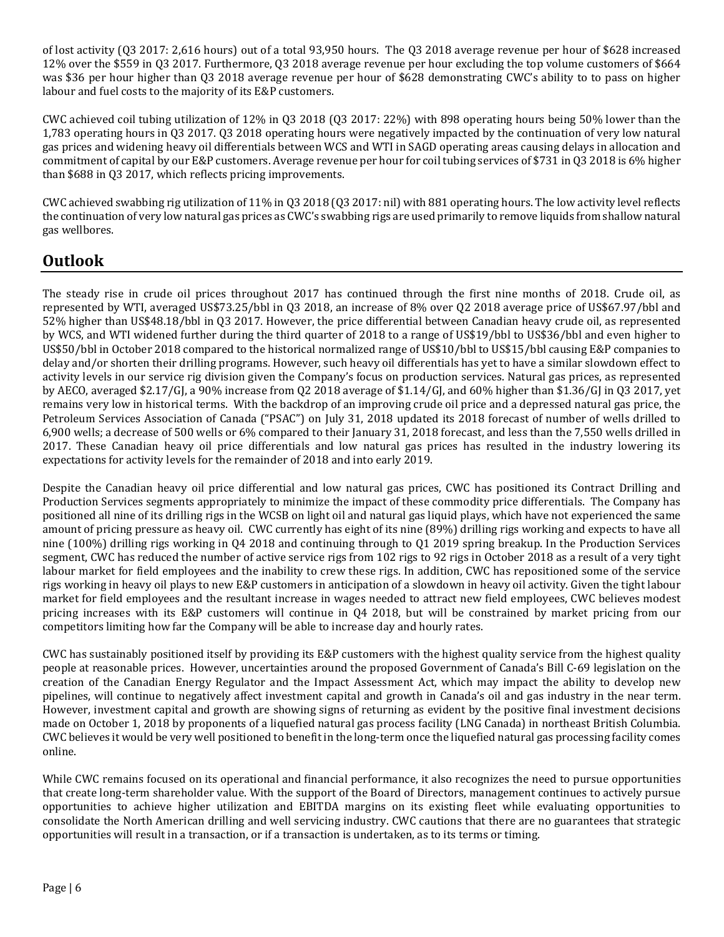of lost activity (Q3 2017: 2,616 hours) out of a total 93,950 hours. The Q3 2018 average revenue per hour of \$628 increased 12% over the \$559 in Q3 2017. Furthermore, Q3 2018 average revenue per hour excluding the top volume customers of \$664 was \$36 per hour higher than Q3 2018 average revenue per hour of \$628 demonstrating CWC's ability to to pass on higher labour and fuel costs to the majority of its E&P customers.

CWC achieved coil tubing utilization of 12% in Q3 2018 (Q3 2017: 22%) with 898 operating hours being 50% lower than the 1,783 operating hours in Q3 2017. Q3 2018 operating hours were negatively impacted by the continuation of very low natural gas prices and widening heavy oil differentials between WCS and WTI in SAGD operating areas causing delays in allocation and commitment of capital by our E&P customers. Average revenue per hour for coil tubing services of \$731 in Q3 2018 is 6% higher than \$688 in Q3 2017, which reflects pricing improvements.

CWC achieved swabbing rig utilization of 11% in Q3 2018 (Q3 2017: nil) with 881 operating hours. The low activity level reflects the continuation of very low natural gas prices as CWC's swabbing rigs are used primarily to remove liquids from shallow natural gas wellbores.

## **Outlook**

The steady rise in crude oil prices throughout 2017 has continued through the first nine months of 2018. Crude oil, as represented by WTI, averaged US\$73.25/bbl in Q3 2018, an increase of 8% over Q2 2018 average price of US\$67.97/bbl and 52% higher than US\$48.18/bbl in Q3 2017. However, the price differential between Canadian heavy crude oil, as represented by WCS, and WTI widened further during the third quarter of 2018 to a range of US\$19/bbl to US\$36/bbl and even higher to US\$50/bbl in October 2018 compared to the historical normalized range of US\$10/bbl to US\$15/bbl causing E&P companies to delay and/or shorten their drilling programs. However, such heavy oil differentials has yet to have a similar slowdown effect to activity levels in our service rig division given the Company's focus on production services. Natural gas prices, as represented by AECO, averaged \$2.17/GJ, a 90% increase from Q2 2018 average of \$1.14/GJ, and 60% higher than \$1.36/GJ in Q3 2017, yet remains very low in historical terms. With the backdrop of an improving crude oil price and a depressed natural gas price, the Petroleum Services Association of Canada ("PSAC") on July 31, 2018 updated its 2018 forecast of number of wells drilled to 6,900 wells; a decrease of 500 wells or 6% compared to their January 31, 2018 forecast, and less than the 7,550 wells drilled in 2017. These Canadian heavy oil price differentials and low natural gas prices has resulted in the industry lowering its expectations for activity levels for the remainder of 2018 and into early 2019.

Despite the Canadian heavy oil price differential and low natural gas prices, CWC has positioned its Contract Drilling and Production Services segments appropriately to minimize the impact of these commodity price differentials. The Company has positioned all nine of its drilling rigs in the WCSB on light oil and natural gas liquid plays, which have not experienced the same amount of pricing pressure as heavy oil. CWC currently has eight of its nine (89%) drilling rigs working and expects to have all nine (100%) drilling rigs working in Q4 2018 and continuing through to Q1 2019 spring breakup. In the Production Services segment, CWC has reduced the number of active service rigs from 102 rigs to 92 rigs in October 2018 as a result of a very tight labour market for field employees and the inability to crew these rigs. In addition, CWC has repositioned some of the service rigs working in heavy oil plays to new E&P customers in anticipation of a slowdown in heavy oil activity. Given the tight labour market for field employees and the resultant increase in wages needed to attract new field employees, CWC believes modest pricing increases with its E&P customers will continue in Q4 2018, but will be constrained by market pricing from our competitors limiting how far the Company will be able to increase day and hourly rates.

CWC has sustainably positioned itself by providing its E&P customers with the highest quality service from the highest quality people at reasonable prices. However, uncertainties around the proposed Government of Canada's Bill C-69 legislation on the creation of the Canadian Energy Regulator and the Impact Assessment Act, which may impact the ability to develop new pipelines, will continue to negatively affect investment capital and growth in Canada's oil and gas industry in the near term. However, investment capital and growth are showing signs of returning as evident by the positive final investment decisions made on October 1, 2018 by proponents of a liquefied natural gas process facility (LNG Canada) in northeast British Columbia. CWC believes it would be very well positioned to benefit in the long-term once the liquefied natural gas processing facility comes online.

While CWC remains focused on its operational and financial performance, it also recognizes the need to pursue opportunities that create long-term shareholder value. With the support of the Board of Directors, management continues to actively pursue opportunities to achieve higher utilization and EBITDA margins on its existing fleet while evaluating opportunities to consolidate the North American drilling and well servicing industry. CWC cautions that there are no guarantees that strategic opportunities will result in a transaction, or if a transaction is undertaken, as to its terms or timing.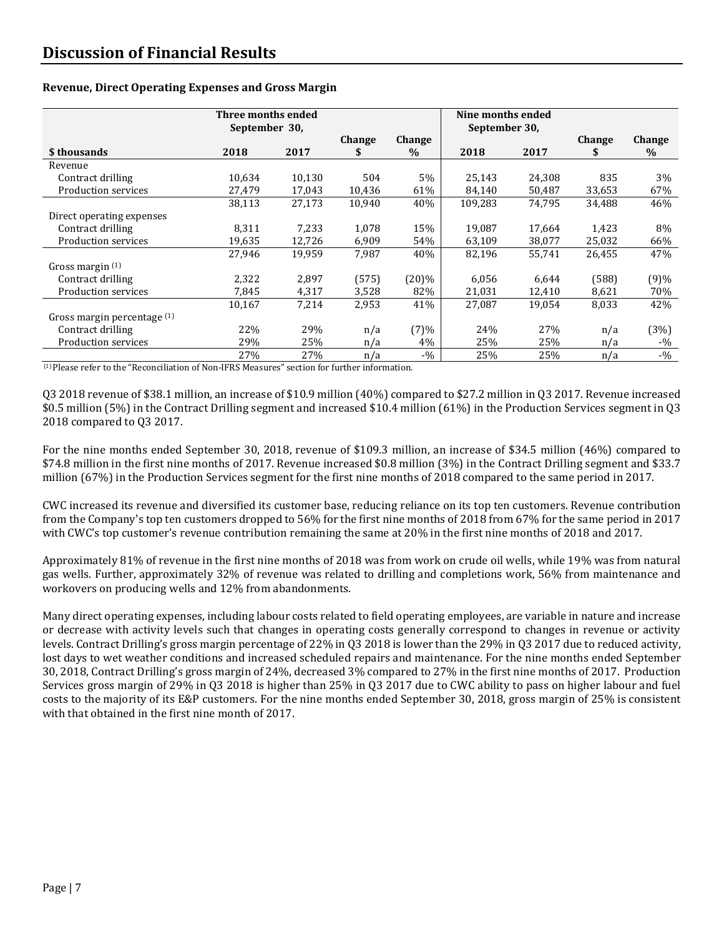|                             | Three months ended<br>September 30, |        |               | Nine months ended<br>September 30, |         |        |               |        |
|-----------------------------|-------------------------------------|--------|---------------|------------------------------------|---------|--------|---------------|--------|
|                             |                                     |        | <b>Change</b> | Change                             |         |        | <b>Change</b> | Change |
| \$ thousands                | 2018                                | 2017   |               | $\%$                               | 2018    | 2017   |               | $\%$   |
| Revenue                     |                                     |        |               |                                    |         |        |               |        |
| Contract drilling           | 10.634                              | 10.130 | 504           | $5\%$                              | 25,143  | 24,308 | 835           | 3%     |
| Production services         | 27,479                              | 17,043 | 10,436        | 61%                                | 84,140  | 50,487 | 33,653        | 67%    |
|                             | 38,113                              | 27,173 | 10.940        | 40%                                | 109.283 | 74.795 | 34,488        | 46%    |
| Direct operating expenses   |                                     |        |               |                                    |         |        |               |        |
| Contract drilling           | 8,311                               | 7.233  | 1,078         | 15%                                | 19,087  | 17,664 | 1,423         | 8%     |
| Production services         | 19,635                              | 12,726 | 6,909         | 54%                                | 63,109  | 38,077 | 25,032        | 66%    |
|                             | 27,946                              | 19,959 | 7,987         | 40%                                | 82,196  | 55,741 | 26,455        | 47%    |
| Gross margin $(1)$          |                                     |        |               |                                    |         |        |               |        |
| Contract drilling           | 2,322                               | 2,897  | (575)         | $(20)\%$                           | 6,056   | 6.644  | (588)         | (9)%   |
| Production services         | 7,845                               | 4,317  | 3,528         | 82%                                | 21,031  | 12,410 | 8,621         | 70%    |
|                             | 10,167                              | 7,214  | 2,953         | 41%                                | 27,087  | 19,054 | 8,033         | 42%    |
| Gross margin percentage (1) |                                     |        |               |                                    |         |        |               |        |
| Contract drilling           | 22%                                 | 29%    | n/a           | (7)%                               | 24%     | 27%    | n/a           | (3%)   |
| Production services         | 29%                                 | 25%    | n/a           | 4%                                 | 25%     | 25%    | n/a           | $-9/0$ |
|                             | 27%                                 | 27%    | n/a           | $-9/0$                             | 25%     | 25%    | n/a           | $-9/0$ |

#### **Revenue, Direct Operating Expenses and Gross Margin**

 $<sup>(1)</sup>$  Please refer to the "Reconciliation of Non-IFRS Measures" section for further information.</sup>

Q3 2018 revenue of \$38.1 million, an increase of \$10.9 million (40%) compared to \$27.2 million in Q3 2017. Revenue increased \$0.5 million (5%) in the Contract Drilling segment and increased \$10.4 million (61%) in the Production Services segment in Q3 2018 compared to Q3 2017.

For the nine months ended September 30, 2018, revenue of \$109.3 million, an increase of \$34.5 million (46%) compared to \$74.8 million in the first nine months of 2017. Revenue increased \$0.8 million (3%) in the Contract Drilling segment and \$33.7 million (67%) in the Production Services segment for the first nine months of 2018 compared to the same period in 2017.

CWC increased its revenue and diversified its customer base, reducing reliance on its top ten customers. Revenue contribution from the Company's top ten customers dropped to 56% for the first nine months of 2018 from 67% for the same period in 2017 with CWC's top customer's revenue contribution remaining the same at 20% in the first nine months of 2018 and 2017.

Approximately 81% of revenue in the first nine months of 2018 was from work on crude oil wells, while 19% was from natural gas wells. Further, approximately 32% of revenue was related to drilling and completions work, 56% from maintenance and workovers on producing wells and 12% from abandonments.

Many direct operating expenses, including labour costs related to field operating employees, are variable in nature and increase or decrease with activity levels such that changes in operating costs generally correspond to changes in revenue or activity levels. Contract Drilling's gross margin percentage of 22% in Q3 2018 is lower than the 29% in Q3 2017 due to reduced activity, lost days to wet weather conditions and increased scheduled repairs and maintenance. For the nine months ended September 30, 2018, Contract Drilling's gross margin of 24%, decreased 3% compared to 27% in the first nine months of 2017. Production Services gross margin of 29% in Q3 2018 is higher than 25% in Q3 2017 due to CWC ability to pass on higher labour and fuel costs to the majority of its E&P customers. For the nine months ended September 30, 2018, gross margin of 25% is consistent with that obtained in the first nine month of 2017.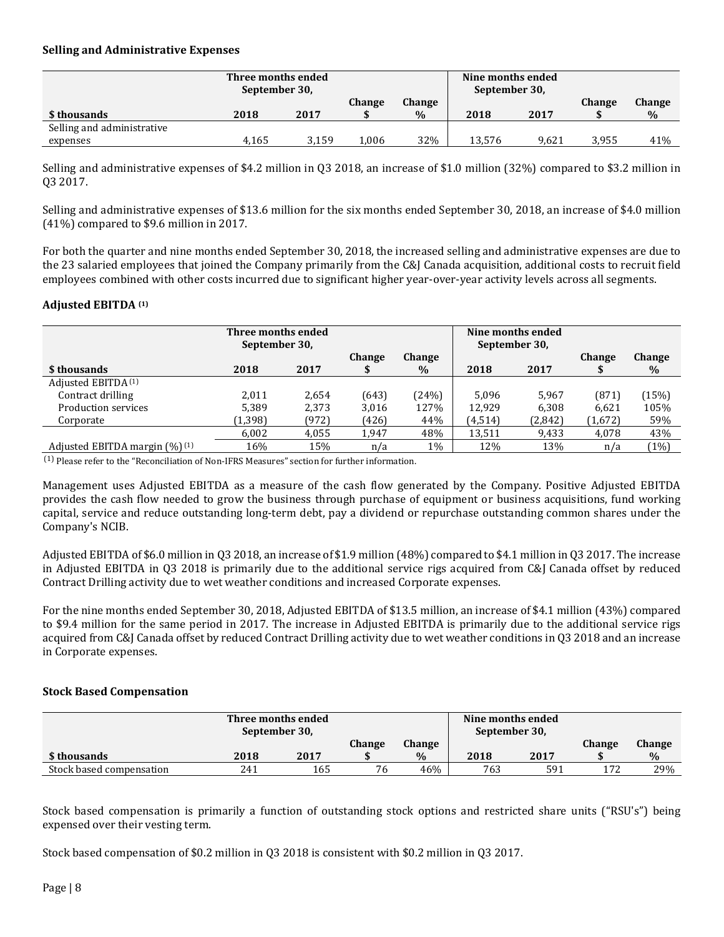#### **Selling and Administrative Expenses**

|                            | Three months ended<br>September 30, |       |               |        |        | Nine months ended<br>September 30, |        |               |
|----------------------------|-------------------------------------|-------|---------------|--------|--------|------------------------------------|--------|---------------|
|                            |                                     |       | <b>Change</b> | Change |        |                                    | Change | <b>Change</b> |
| \$ thousands               | 2018                                | 2017  |               | $\%$   | 2018   | 2017                               |        | $\%$          |
| Selling and administrative |                                     |       |               |        |        |                                    |        |               |
| expenses                   | 4,165                               | 3.159 | 1,006         | 32%    | 13.576 | 9,621                              | 3.955  | 41%           |

Selling and administrative expenses of \$4.2 million in Q3 2018, an increase of \$1.0 million (32%) compared to \$3.2 million in Q3 2017.

Selling and administrative expenses of \$13.6 million for the six months ended September 30, 2018, an increase of \$4.0 million (41%) compared to \$9.6 million in 2017.

For both the quarter and nine months ended September 30, 2018, the increased selling and administrative expenses are due to the 23 salaried employees that joined the Company primarily from the C&J Canada acquisition, additional costs to recruit field employees combined with other costs incurred due to significant higher year-over-year activity levels across all segments.

#### **Adjusted EBITDA (1)**

|                                  | Three months ended<br>September 30, |       |                    | Nine months ended<br>September 30, |         |         |               |                |
|----------------------------------|-------------------------------------|-------|--------------------|------------------------------------|---------|---------|---------------|----------------|
| \$ thousands                     | 2018                                | 2017  | <b>Change</b><br>J | <b>Change</b><br>$\%$              | 2018    | 2017    | <b>Change</b> | Change<br>$\%$ |
| Adjusted EBITDA <sup>(1)</sup>   |                                     |       |                    |                                    |         |         |               |                |
| Contract drilling                | 2,011                               | 2.654 | (643)              | (24%)                              | 5.096   | 5.967   | (871)         | 15%            |
| Production services              | 5,389                               | 2,373 | 3,016              | 127%                               | 12.929  | 6,308   | 6,621         | 105%           |
| Corporate                        | (1, 398)                            | (972) | (426)              | 44%                                | (4,514) | (2,842) | (1,672)       | 59%            |
|                                  | 6,002                               | 4,055 | 1.947              | 48%                                | 13,511  | 9,433   | 4,078         | 43%            |
| Adjusted EBITDA margin $(\%)(1)$ | 16%                                 | 15%   | n/a                | $1\%$                              | 12%     | 13%     | n/a           | (1%)           |

(1) Please refer to the "Reconciliation of Non-IFRS Measures" section for further information.

Management uses Adjusted EBITDA as a measure of the cash flow generated by the Company. Positive Adjusted EBITDA provides the cash flow needed to grow the business through purchase of equipment or business acquisitions, fund working capital, service and reduce outstanding long-term debt, pay a dividend or repurchase outstanding common shares under the Company's NCIB.

Adjusted EBITDA of \$6.0 million in Q3 2018, an increase of \$1.9 million (48%) compared to \$4.1 million in Q3 2017. The increase in Adjusted EBITDA in Q3 2018 is primarily due to the additional service rigs acquired from C&J Canada offset by reduced Contract Drilling activity due to wet weather conditions and increased Corporate expenses.

For the nine months ended September 30, 2018, Adjusted EBITDA of \$13.5 million, an increase of \$4.1 million (43%) compared to \$9.4 million for the same period in 2017. The increase in Adjusted EBITDA is primarily due to the additional service rigs acquired from C&J Canada offset by reduced Contract Drilling activity due to wet weather conditions in Q3 2018 and an increase in Corporate expenses.

#### **Stock Based Compensation**

|                          | Three months ended<br>September 30, |      |        |        |      | Nine months ended<br>September 30, |        |        |
|--------------------------|-------------------------------------|------|--------|--------|------|------------------------------------|--------|--------|
|                          |                                     |      | Change | Change |      |                                    | Change | Change |
| \$ thousands             | 2018                                | 2017 |        | $\%$   | 2018 | 2017                               |        | $\%$   |
| Stock based compensation | 241                                 | 165  | 76     | 46%    | 763  | 591                                | 177    | 29%    |

Stock based compensation is primarily a function of outstanding stock options and restricted share units ("RSU's") being expensed over their vesting term.

Stock based compensation of \$0.2 million in Q3 2018 is consistent with \$0.2 million in Q3 2017.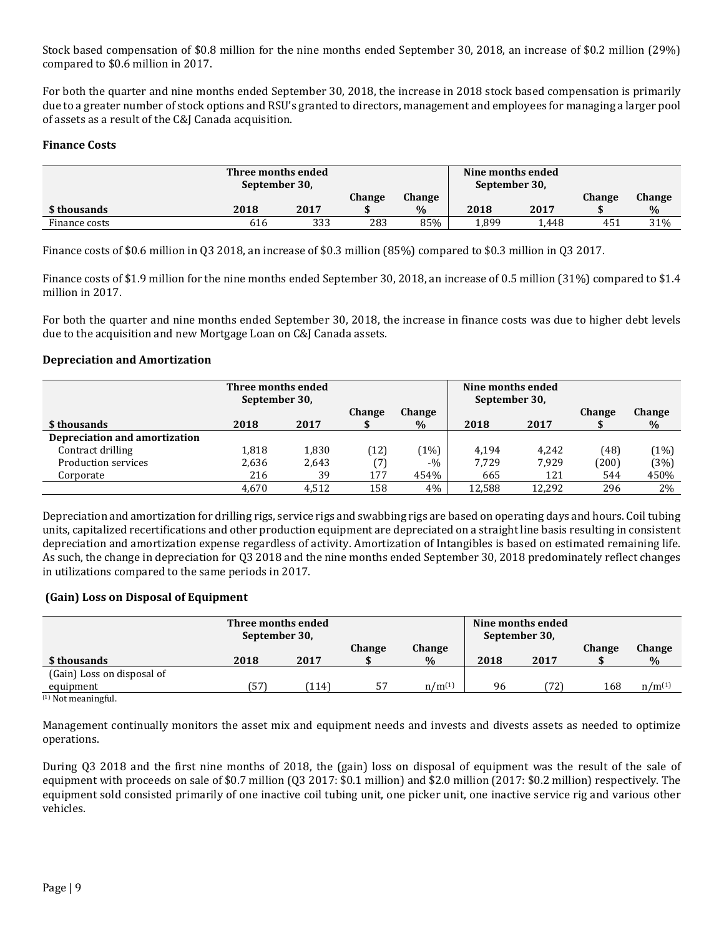Stock based compensation of \$0.8 million for the nine months ended September 30, 2018, an increase of \$0.2 million (29%) compared to \$0.6 million in 2017.

For both the quarter and nine months ended September 30, 2018, the increase in 2018 stock based compensation is primarily due to a greater number of stock options and RSU's granted to directors, management and employees for managing a larger pool of assets as a result of the C&J Canada acquisition.

### **Finance Costs**

|               | Three months ended<br>September 30, |      |     |      |       | Nine months ended<br>September 30, |        |        |
|---------------|-------------------------------------|------|-----|------|-------|------------------------------------|--------|--------|
|               | Change<br><b>Change</b>             |      |     |      |       |                                    | Change | Change |
| \$ thousands  | 2018                                | 2017 |     | $\%$ | 2018  | 2017                               |        | $\%$   |
| Finance costs | 616                                 | 333  | 283 | 85%  | 1.899 | 1.448                              | 451    | 31%    |

Finance costs of \$0.6 million in Q3 2018, an increase of \$0.3 million (85%) compared to \$0.3 million in Q3 2017.

Finance costs of \$1.9 million for the nine months ended September 30, 2018, an increase of 0.5 million (31%) compared to \$1.4 million in 2017.

For both the quarter and nine months ended September 30, 2018, the increase in finance costs was due to higher debt levels due to the acquisition and new Mortgage Loan on C&J Canada assets.

#### **Depreciation and Amortization**

|                               | Three months ended<br>September 30, |       |               |               | Nine months ended<br>September 30, |        |               |        |
|-------------------------------|-------------------------------------|-------|---------------|---------------|------------------------------------|--------|---------------|--------|
|                               |                                     |       | <b>Change</b> | <b>Change</b> |                                    |        | <b>Change</b> | Change |
| \$ thousands                  | 2018                                | 2017  |               | $\%$          | 2018                               | 2017   |               | $\%$   |
| Depreciation and amortization |                                     |       |               |               |                                    |        |               |        |
| Contract drilling             | 1,818                               | 1,830 | 12)           | $1\%$         | 4.194                              | 4.242  | (48)          | (1%)   |
| Production services           | 2,636                               | 2.643 |               | $-9/0$        | 7.729                              | 7.929  | (200)         | (3%)   |
| Corporate                     | 216                                 | 39    | 177           | 454%          | 665                                | 121    | 544           | 450%   |
|                               | 4.670                               | 4.512 | 158           | 4%            | 12,588                             | 12.292 | 296           | $2\%$  |

Depreciation and amortization for drilling rigs, service rigs and swabbing rigs are based on operating days and hours. Coil tubing units, capitalized recertifications and other production equipment are depreciated on a straight line basis resulting in consistent depreciation and amortization expense regardless of activity. Amortization of Intangibles is based on estimated remaining life. As such, the change in depreciation for Q3 2018 and the nine months ended September 30, 2018 predominately reflect changes in utilizations compared to the same periods in 2017.

#### **(Gain) Loss on Disposal of Equipment**

| Three months ended<br>September 30, |      |       |        |             |      | Nine months ended<br>September 30, |               |             |
|-------------------------------------|------|-------|--------|-------------|------|------------------------------------|---------------|-------------|
|                                     |      |       | Change | Change      |      |                                    | <b>Change</b> | Change      |
| \$ thousands                        | 2018 | 2017  |        | $\%$        | 2018 | 2017                               |               | $\%$        |
| (Gain) Loss on disposal of          |      |       |        |             |      |                                    |               |             |
| equipment                           | 57ء  | (114) | -57    | $n/m^{(1)}$ | 96   | (72)                               | 168           | $n/m^{(1)}$ |
| $(1)$ Not mooningful                |      |       |        |             |      |                                    |               |             |

(1) Not meaningful.

Management continually monitors the asset mix and equipment needs and invests and divests assets as needed to optimize operations.

During Q3 2018 and the first nine months of 2018, the (gain) loss on disposal of equipment was the result of the sale of equipment with proceeds on sale of \$0.7 million (Q3 2017: \$0.1 million) and \$2.0 million (2017: \$0.2 million) respectively. The equipment sold consisted primarily of one inactive coil tubing unit, one picker unit, one inactive service rig and various other vehicles.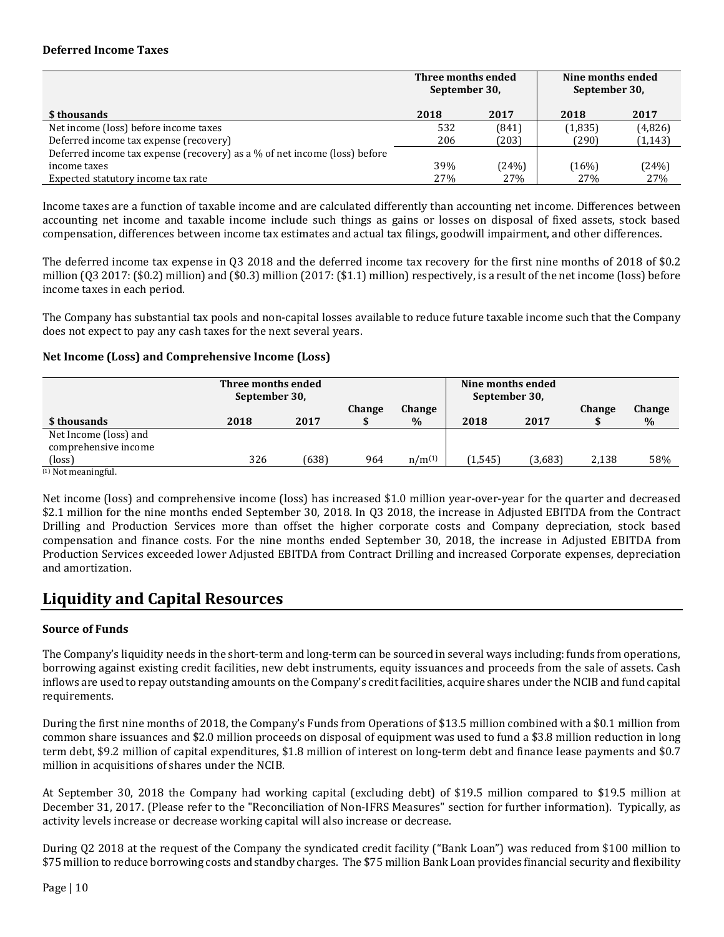#### **Deferred Income Taxes**

|                                                                           | Three months ended<br>September 30, |       | Nine months ended<br>September 30, |          |  |
|---------------------------------------------------------------------------|-------------------------------------|-------|------------------------------------|----------|--|
| \$ thousands                                                              | 2018                                | 2017  | 2018                               | 2017     |  |
| Net income (loss) before income taxes                                     | 532                                 | (841) | (1,835)                            | (4,826)  |  |
| Deferred income tax expense (recovery)                                    | 206                                 | (203) | (290)                              | (1, 143) |  |
| Deferred income tax expense (recovery) as a % of net income (loss) before |                                     |       |                                    |          |  |
| income taxes                                                              | 39%                                 | (24%) | (16%)                              | (24%)    |  |
| Expected statutory income tax rate                                        | 27%                                 | 27%   | 27%                                | 27%      |  |

Income taxes are a function of taxable income and are calculated differently than accounting net income. Differences between accounting net income and taxable income include such things as gains or losses on disposal of fixed assets, stock based compensation, differences between income tax estimates and actual tax filings, goodwill impairment, and other differences.

The deferred income tax expense in Q3 2018 and the deferred income tax recovery for the first nine months of 2018 of \$0.2 million (Q3 2017: (\$0.2) million) and (\$0.3) million (2017: (\$1.1) million) respectively, is a result of the net income (loss) before income taxes in each period.

The Company has substantial tax pools and non-capital losses available to reduce future taxable income such that the Company does not expect to pay any cash taxes for the next several years.

#### **Net Income (Loss) and Comprehensive Income (Loss)**

|                                               | Three months ended<br>September 30, | Nine months ended<br>September 30, |        |                       |         |         |               |                |
|-----------------------------------------------|-------------------------------------|------------------------------------|--------|-----------------------|---------|---------|---------------|----------------|
| \$ thousands                                  | 2018                                | 2017                               | Change | <b>Change</b><br>$\%$ | 2018    | 2017    | <b>Change</b> | Change<br>$\%$ |
| Net Income (loss) and<br>comprehensive income |                                     |                                    |        |                       |         |         |               |                |
| (loss)                                        | 326                                 | (638)                              | 964    | $n/m^{(1)}$           | (1,545) | (3,683) | 2,138         | 58%            |
| $(1)$ Not meaningful.                         |                                     |                                    |        |                       |         |         |               |                |

Net income (loss) and comprehensive income (loss) has increased \$1.0 million year-over-year for the quarter and decreased \$2.1 million for the nine months ended September 30, 2018. In Q3 2018, the increase in Adjusted EBITDA from the Contract Drilling and Production Services more than offset the higher corporate costs and Company depreciation, stock based compensation and finance costs. For the nine months ended September 30, 2018, the increase in Adjusted EBITDA from Production Services exceeded lower Adjusted EBITDA from Contract Drilling and increased Corporate expenses, depreciation and amortization.

## **Liquidity and Capital Resources**

### **Source of Funds**

The Company's liquidity needs in the short-term and long-term can be sourced in several ways including: funds from operations, borrowing against existing credit facilities, new debt instruments, equity issuances and proceeds from the sale of assets. Cash inflows are used to repay outstanding amounts on the Company's credit facilities, acquire shares under the NCIB and fund capital requirements.

During the first nine months of 2018, the Company's Funds from Operations of \$13.5 million combined with a \$0.1 million from common share issuances and \$2.0 million proceeds on disposal of equipment was used to fund a \$3.8 million reduction in long term debt, \$9.2 million of capital expenditures, \$1.8 million of interest on long-term debt and finance lease payments and \$0.7 million in acquisitions of shares under the NCIB.

At September 30, 2018 the Company had working capital (excluding debt) of \$19.5 million compared to \$19.5 million at December 31, 2017. (Please refer to the "Reconciliation of Non-IFRS Measures" section for further information). Typically, as activity levels increase or decrease working capital will also increase or decrease.

During Q2 2018 at the request of the Company the syndicated credit facility ("Bank Loan") was reduced from \$100 million to \$75 million to reduce borrowing costs and standby charges. The \$75 million Bank Loan provides financial security and flexibility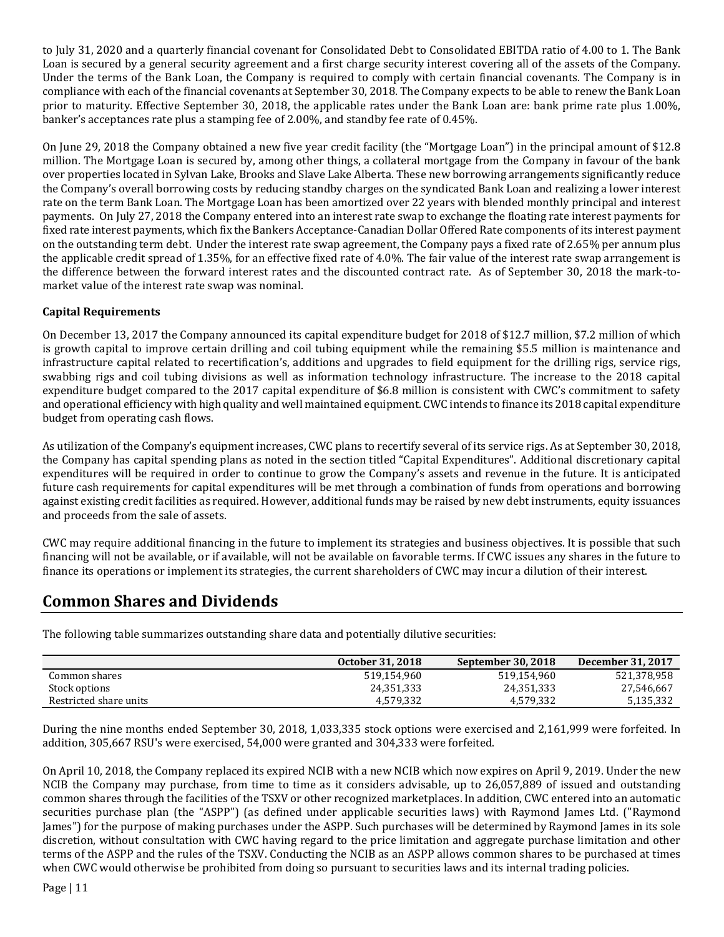to July 31, 2020 and a quarterly financial covenant for Consolidated Debt to Consolidated EBITDA ratio of 4.00 to 1. The Bank Loan is secured by a general security agreement and a first charge security interest covering all of the assets of the Company. Under the terms of the Bank Loan, the Company is required to comply with certain financial covenants. The Company is in compliance with each of the financial covenants at September 30, 2018. The Company expects to be able to renew the Bank Loan prior to maturity. Effective September 30, 2018, the applicable rates under the Bank Loan are: bank prime rate plus 1.00%, banker's acceptances rate plus a stamping fee of 2.00%, and standby fee rate of 0.45%.

On June 29, 2018 the Company obtained a new five year credit facility (the "Mortgage Loan") in the principal amount of \$12.8 million. The Mortgage Loan is secured by, among other things, a collateral mortgage from the Company in favour of the bank over properties located in Sylvan Lake, Brooks and Slave Lake Alberta. These new borrowing arrangements significantly reduce the Company's overall borrowing costs by reducing standby charges on the syndicated Bank Loan and realizing a lower interest rate on the term Bank Loan. The Mortgage Loan has been amortized over 22 years with blended monthly principal and interest payments. On July 27, 2018 the Company entered into an interest rate swap to exchange the floating rate interest payments for fixed rate interest payments, which fix the Bankers Acceptance-Canadian Dollar Offered Rate components of its interest payment on the outstanding term debt. Under the interest rate swap agreement, the Company pays a fixed rate of 2.65% per annum plus the applicable credit spread of 1.35%, for an effective fixed rate of 4.0%. The fair value of the interest rate swap arrangement is the difference between the forward interest rates and the discounted contract rate. As of September 30, 2018 the mark-tomarket value of the interest rate swap was nominal.

### **Capital Requirements**

On December 13, 2017 the Company announced its capital expenditure budget for 2018 of \$12.7 million, \$7.2 million of which is growth capital to improve certain drilling and coil tubing equipment while the remaining \$5.5 million is maintenance and infrastructure capital related to recertification's, additions and upgrades to field equipment for the drilling rigs, service rigs, swabbing rigs and coil tubing divisions as well as information technology infrastructure. The increase to the 2018 capital expenditure budget compared to the 2017 capital expenditure of \$6.8 million is consistent with CWC's commitment to safety and operational efficiency with high quality and well maintained equipment. CWC intends to finance its 2018 capital expenditure budget from operating cash flows.

As utilization of the Company's equipment increases, CWC plans to recertify several of its service rigs. As at September 30, 2018, the Company has capital spending plans as noted in the section titled "Capital Expenditures". Additional discretionary capital expenditures will be required in order to continue to grow the Company's assets and revenue in the future. It is anticipated future cash requirements for capital expenditures will be met through a combination of funds from operations and borrowing against existing credit facilities as required. However, additional funds may be raised by new debt instruments, equity issuances and proceeds from the sale of assets.

CWC may require additional financing in the future to implement its strategies and business objectives. It is possible that such financing will not be available, or if available, will not be available on favorable terms. If CWC issues any shares in the future to finance its operations or implement its strategies, the current shareholders of CWC may incur a dilution of their interest.

## **Common Shares and Dividends**

The following table summarizes outstanding share data and potentially dilutive securities:

|                        | <b>October 31, 2018</b> | <b>September 30, 2018</b> | December 31, 2017 |
|------------------------|-------------------------|---------------------------|-------------------|
| Common shares          | 519.154.960             | 519.154.960               | 521,378,958       |
| Stock options          | 24,351,333              | 24,351,333                | 27,546,667        |
| Restricted share units | 4,579,332               | 4.579.332                 | 5,135,332         |

During the nine months ended September 30, 2018, 1,033,335 stock options were exercised and 2,161,999 were forfeited. In addition, 305,667 RSU's were exercised, 54,000 were granted and 304,333 were forfeited.

On April 10, 2018, the Company replaced its expired NCIB with a new NCIB which now expires on April 9, 2019. Under the new NCIB the Company may purchase, from time to time as it considers advisable, up to 26,057,889 of issued and outstanding common shares through the facilities of the TSXV or other recognized marketplaces. In addition, CWC entered into an automatic securities purchase plan (the "ASPP") (as defined under applicable securities laws) with Raymond James Ltd. ("Raymond James") for the purpose of making purchases under the ASPP. Such purchases will be determined by Raymond James in its sole discretion, without consultation with CWC having regard to the price limitation and aggregate purchase limitation and other terms of the ASPP and the rules of the TSXV. Conducting the NCIB as an ASPP allows common shares to be purchased at times when CWC would otherwise be prohibited from doing so pursuant to securities laws and its internal trading policies.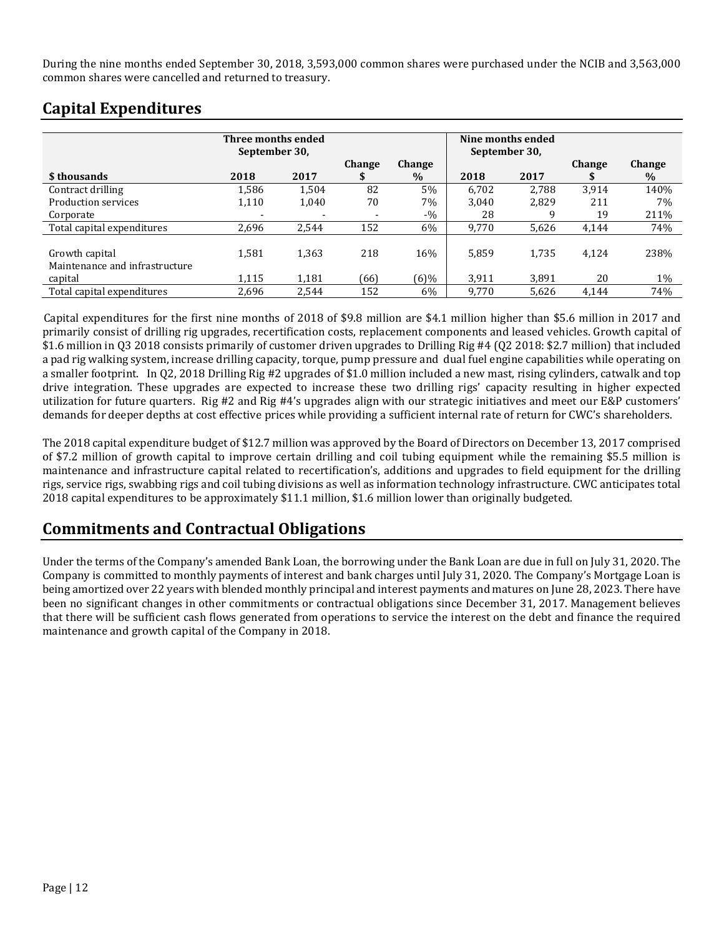During the nine months ended September 30, 2018, 3,593,000 common shares were purchased under the NCIB and 3,563,000 common shares were cancelled and returned to treasury.

|                                                  | Three months ended<br>September 30, |       |               |                | September 30, | Nine months ended |                    |                       |
|--------------------------------------------------|-------------------------------------|-------|---------------|----------------|---------------|-------------------|--------------------|-----------------------|
| \$thousands                                      | 2018                                | 2017  | <b>Change</b> | Change<br>$\%$ | 2018          | 2017              | <b>Change</b><br>J | <b>Change</b><br>$\%$ |
| Contract drilling                                | 1,586                               | 1.504 | 82            | 5%             | 6.702         | 2.788             | 3,914              | 140%                  |
| Production services                              | 1,110                               | 1,040 | 70            | 7%             | 3.040         | 2.829             | 211                | 7%                    |
| Corporate                                        |                                     |       |               | $-9/0$         | 28            |                   | 19                 | 211%                  |
| Total capital expenditures                       | 2.696                               | 2,544 | 152           | 6%             | 9.770         | 5.626             | 4,144              | 74%                   |
| Growth capital<br>Maintenance and infrastructure | 1,581                               | 1,363 | 218           | 16%            | 5,859         | 1.735             | 4.124              | 238%                  |
| capital                                          | 1.115                               | 1,181 | (66)          | $(6)\%$        | 3,911         | 3.891             | 20                 | $1\%$                 |
| Total capital expenditures                       | 2.696                               | 2.544 | 152           | $6\%$          | 9.770         | 5.626             | 4.144              | 74%                   |

# **Capital Expenditures**

Capital expenditures for the first nine months of 2018 of \$9.8 million are \$4.1 million higher than \$5.6 million in 2017 and primarily consist of drilling rig upgrades, recertification costs, replacement components and leased vehicles. Growth capital of \$1.6 million in Q3 2018 consists primarily of customer driven upgrades to Drilling Rig #4 (Q2 2018: \$2.7 million) that included a pad rig walking system, increase drilling capacity, torque, pump pressure and dual fuel engine capabilities while operating on a smaller footprint. In Q2, 2018 Drilling Rig #2 upgrades of \$1.0 million included a new mast, rising cylinders, catwalk and top drive integration. These upgrades are expected to increase these two drilling rigs' capacity resulting in higher expected utilization for future quarters. Rig #2 and Rig #4's upgrades align with our strategic initiatives and meet our E&P customers' demands for deeper depths at cost effective prices while providing a sufficient internal rate of return for CWC's shareholders.

The 2018 capital expenditure budget of \$12.7 million was approved by the Board of Directors on December 13, 2017 comprised of \$7.2 million of growth capital to improve certain drilling and coil tubing equipment while the remaining \$5.5 million is maintenance and infrastructure capital related to recertification's, additions and upgrades to field equipment for the drilling rigs, service rigs, swabbing rigs and coil tubing divisions as well as information technology infrastructure. CWC anticipates total 2018 capital expenditures to be approximately \$11.1 million, \$1.6 million lower than originally budgeted.

# **Commitments and Contractual Obligations**

Under the terms of the Company's amended Bank Loan, the borrowing under the Bank Loan are due in full on July 31, 2020. The Company is committed to monthly payments of interest and bank charges until July 31, 2020. The Company's Mortgage Loan is being amortized over 22 years with blended monthly principal and interest payments and matures on June 28, 2023. There have been no significant changes in other commitments or contractual obligations since December 31, 2017. Management believes that there will be sufficient cash flows generated from operations to service the interest on the debt and finance the required maintenance and growth capital of the Company in 2018.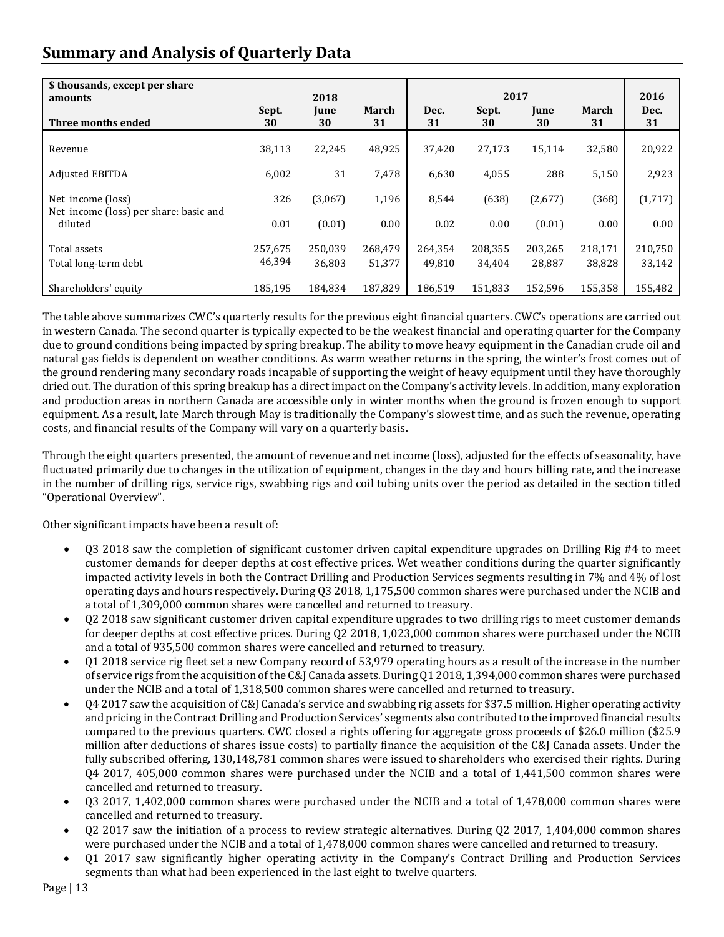# **Summary and Analysis of Quarterly Data**

| \$ thousands, except per share                    |             |                           |             |            | 2017        |            |             | 2016       |
|---------------------------------------------------|-------------|---------------------------|-------------|------------|-------------|------------|-------------|------------|
| amounts<br>Three months ended                     | Sept.<br>30 | 2018<br><b>June</b><br>30 | March<br>31 | Dec.<br>31 | Sept.<br>30 | June<br>30 | March<br>31 | Dec.<br>31 |
| Revenue                                           | 38,113      | 22,245                    | 48,925      | 37,420     | 27,173      | 15,114     | 32,580      | 20,922     |
| <b>Adjusted EBITDA</b>                            | 6,002       | 31                        | 7,478       | 6,630      | 4,055       | 288        | 5,150       | 2,923      |
| Net income (loss)                                 | 326         | (3,067)                   | 1,196       | 8,544      | (638)       | (2,677)    | (368)       | (1,717)    |
| Net income (loss) per share: basic and<br>diluted | 0.01        | (0.01)                    | 0.00        | 0.02       | 0.00        | (0.01)     | 0.00        | 0.00       |
| Total assets                                      | 257,675     | 250,039                   | 268.479     | 264,354    | 208,355     | 203,265    | 218,171     | 210,750    |
| Total long-term debt                              | 46,394      | 36,803                    | 51,377      | 49.810     | 34,404      | 28,887     | 38,828      | 33,142     |
| Shareholders' equity                              | 185,195     | 184,834                   | 187,829     | 186.519    | 151,833     | 152.596    | 155,358     | 155,482    |

The table above summarizes CWC's quarterly results for the previous eight financial quarters. CWC's operations are carried out in western Canada. The second quarter is typically expected to be the weakest financial and operating quarter for the Company due to ground conditions being impacted by spring breakup. The ability to move heavy equipment in the Canadian crude oil and natural gas fields is dependent on weather conditions. As warm weather returns in the spring, the winter's frost comes out of the ground rendering many secondary roads incapable of supporting the weight of heavy equipment until they have thoroughly dried out. The duration of this spring breakup has a direct impact on the Company's activity levels. In addition, many exploration and production areas in northern Canada are accessible only in winter months when the ground is frozen enough to support equipment. As a result, late March through May is traditionally the Company's slowest time, and as such the revenue, operating costs, and financial results of the Company will vary on a quarterly basis.

Through the eight quarters presented, the amount of revenue and net income (loss), adjusted for the effects of seasonality, have fluctuated primarily due to changes in the utilization of equipment, changes in the day and hours billing rate, and the increase in the number of drilling rigs, service rigs, swabbing rigs and coil tubing units over the period as detailed in the section titled "Operational Overview".

Other significant impacts have been a result of:

- Q3 2018 saw the completion of significant customer driven capital expenditure upgrades on Drilling Rig #4 to meet customer demands for deeper depths at cost effective prices. Wet weather conditions during the quarter significantly impacted activity levels in both the Contract Drilling and Production Services segments resulting in 7% and 4% of lost operating days and hours respectively. During Q3 2018, 1,175,500 common shares were purchased under the NCIB and a total of 1,309,000 common shares were cancelled and returned to treasury.
- Q2 2018 saw significant customer driven capital expenditure upgrades to two drilling rigs to meet customer demands for deeper depths at cost effective prices. During Q2 2018, 1,023,000 common shares were purchased under the NCIB and a total of 935,500 common shares were cancelled and returned to treasury.
- Q1 2018 service rig fleet set a new Company record of 53,979 operating hours as a result of the increase in the number of service rigs from the acquisition of the C&J Canada assets. During Q1 2018, 1,394,000 common shares were purchased under the NCIB and a total of 1,318,500 common shares were cancelled and returned to treasury.
- Q4 2017 saw the acquisition of C&J Canada's service and swabbing rig assets for \$37.5 million. Higher operating activity and pricing in the Contract Drilling and Production Services' segments also contributed to the improved financial results compared to the previous quarters. CWC closed a rights offering for aggregate gross proceeds of \$26.0 million (\$25.9 million after deductions of shares issue costs) to partially finance the acquisition of the C&J Canada assets. Under the fully subscribed offering, 130,148,781 common shares were issued to shareholders who exercised their rights. During Q4 2017, 405,000 common shares were purchased under the NCIB and a total of 1,441,500 common shares were cancelled and returned to treasury.
- Q3 2017, 1,402,000 common shares were purchased under the NCIB and a total of 1,478,000 common shares were cancelled and returned to treasury.
- Q2 2017 saw the initiation of a process to review strategic alternatives. During Q2 2017, 1,404,000 common shares were purchased under the NCIB and a total of 1,478,000 common shares were cancelled and returned to treasury.
- Q1 2017 saw significantly higher operating activity in the Company's Contract Drilling and Production Services segments than what had been experienced in the last eight to twelve quarters.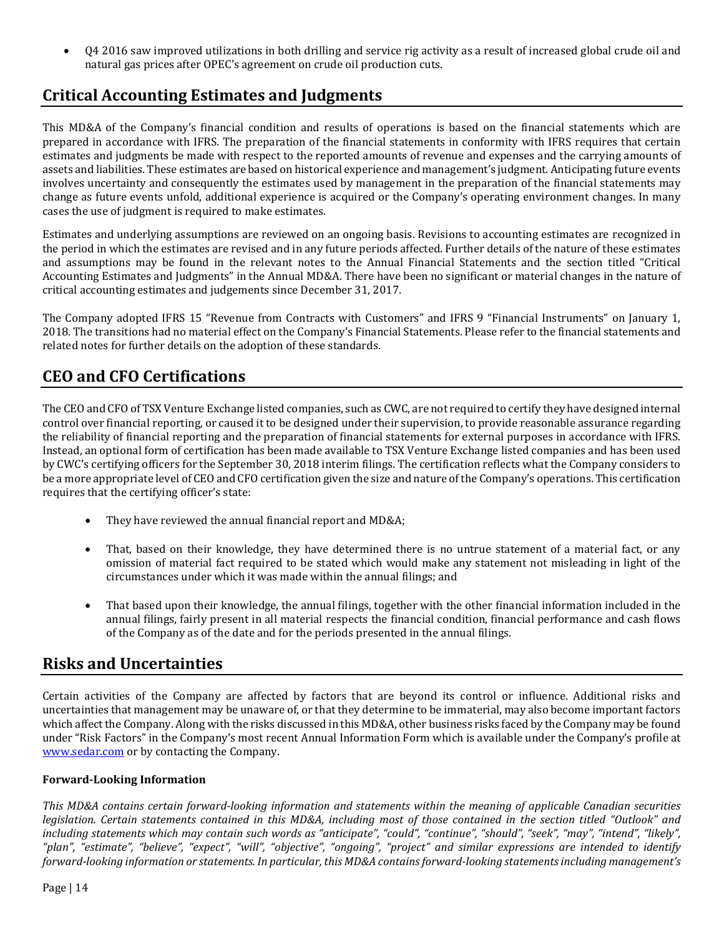• Q4 2016 saw improved utilizations in both drilling and service rig activity as a result of increased global crude oil and natural gas prices after OPEC's agreement on crude oil production cuts.

## **Critical Accounting Estimates and Judgments**

This MD&A of the Company's financial condition and results of operations is based on the financial statements which are prepared in accordance with IFRS. The preparation of the financial statements in conformity with IFRS requires that certain estimates and judgments be made with respect to the reported amounts of revenue and expenses and the carrying amounts of assets and liabilities. These estimates are based on historical experience and management's judgment. Anticipating future events involves uncertainty and consequently the estimates used by management in the preparation of the financial statements may change as future events unfold, additional experience is acquired or the Company's operating environment changes. In many cases the use of judgment is required to make estimates.

Estimates and underlying assumptions are reviewed on an ongoing basis. Revisions to accounting estimates are recognized in the period in which the estimates are revised and in any future periods affected. Further details of the nature of these estimates and assumptions may be found in the relevant notes to the Annual Financial Statements and the section titled "Critical Accounting Estimates and Judgments" in the Annual MD&A. There have been no significant or material changes in the nature of critical accounting estimates and judgements since December 31, 2017.

The Company adopted IFRS 15 "Revenue from Contracts with Customers" and IFRS 9 "Financial Instruments" on January 1, 2018. The transitions had no material effect on the Company's Financial Statements. Please refer to the financial statements and related notes for further details on the adoption of these standards.

## **CEO and CFO Certifications**

The CEO and CFO of TSX Venture Exchange listed companies, such as CWC, are not required to certify they have designed internal control over financial reporting, or caused it to be designed under their supervision, to provide reasonable assurance regarding the reliability of financial reporting and the preparation of financial statements for external purposes in accordance with IFRS. Instead, an optional form of certification has been made available to TSX Venture Exchange listed companies and has been used by CWC's certifying officers for the September 30, 2018 interim filings. The certification reflects what the Company considers to be a more appropriate level of CEO and CFO certification given the size and nature of the Company's operations. This certification requires that the certifying officer's state:

- They have reviewed the annual financial report and MD&A;
- That, based on their knowledge, they have determined there is no untrue statement of a material fact, or any omission of material fact required to be stated which would make any statement not misleading in light of the circumstances under which it was made within the annual filings; and
- That based upon their knowledge, the annual filings, together with the other financial information included in the annual filings, fairly present in all material respects the financial condition, financial performance and cash flows of the Company as of the date and for the periods presented in the annual filings.

## **Risks and Uncertainties**

Certain activities of the Company are affected by factors that are beyond its control or influence. Additional risks and uncertainties that management may be unaware of, or that they determine to be immaterial, may also become important factors which affect the Company. Along with the risks discussed in this MD&A, other business risks faced by the Company may be found under "Risk Factors" in the Company's most recent Annual Information Form which is available under the Company's profile at [www.sedar.com](http://www.sedar.com/) or by contacting the Company.

### **Forward-Looking Information**

*This MD&A contains certain forward-looking information and statements within the meaning of applicable Canadian securities legislation. Certain statements contained in this MD&A, including most of those contained in the section titled "Outlook" and including statements which may contain such words as "anticipate", "could", "continue", "should", "seek", "may", "intend", "likely", "plan", "estimate", "believe", "expect", "will", "objective", "ongoing", "project" and similar expressions are intended to identify forward-looking information or statements. In particular, this MD&A contains forward-looking statements including management's*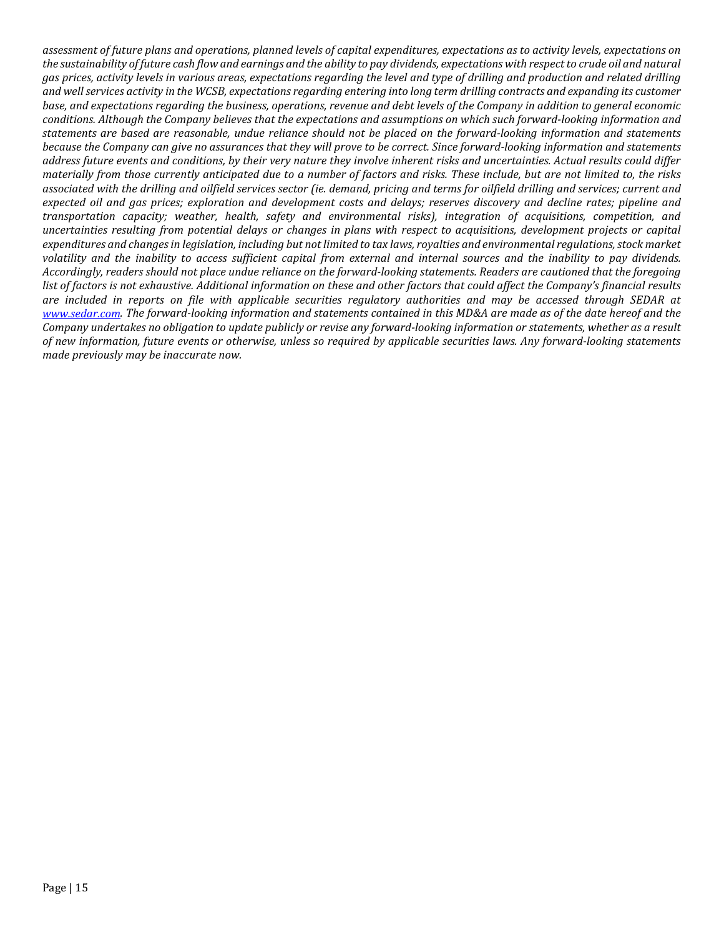*assessment of future plans and operations, planned levels of capital expenditures, expectations as to activity levels, expectations on the sustainability of future cash flow and earnings and the ability to pay dividends, expectations with respect to crude oil and natural gas prices, activity levels in various areas, expectations regarding the level and type of drilling and production and related drilling and well services activity in the WCSB, expectations regarding entering into long term drilling contracts and expanding its customer base, and expectations regarding the business, operations, revenue and debt levels of the Company in addition to general economic conditions. Although the Company believes that the expectations and assumptions on which such forward-looking information and statements are based are reasonable, undue reliance should not be placed on the forward-looking information and statements because the Company can give no assurances that they will prove to be correct. Since forward-looking information and statements address future events and conditions, by their very nature they involve inherent risks and uncertainties. Actual results could differ materially from those currently anticipated due to a number of factors and risks. These include, but are not limited to, the risks associated with the drilling and oilfield services sector (ie. demand, pricing and terms for oilfield drilling and services; current and expected oil and gas prices; exploration and development costs and delays; reserves discovery and decline rates; pipeline and transportation capacity; weather, health, safety and environmental risks), integration of acquisitions, competition, and uncertainties resulting from potential delays or changes in plans with respect to acquisitions, development projects or capital expenditures and changes in legislation, including but not limited to tax laws, royalties and environmental regulations, stock market volatility and the inability to access sufficient capital from external and internal sources and the inability to pay dividends. Accordingly, readers should not place undue reliance on the forward-looking statements. Readers are cautioned that the foregoing list of factors is not exhaustive. Additional information on these and other factors that could affect the Company's financial results are included in reports on file with applicable securities regulatory authorities and may be accessed through SEDAR at [www.sedar.com.](http://www.sedar.com/) The forward-looking information and statements contained in this MD&A are made as of the date hereof and the Company undertakes no obligation to update publicly or revise any forward-looking information or statements, whether as a result of new information, future events or otherwise, unless so required by applicable securities laws. Any forward-looking statements made previously may be inaccurate now.*